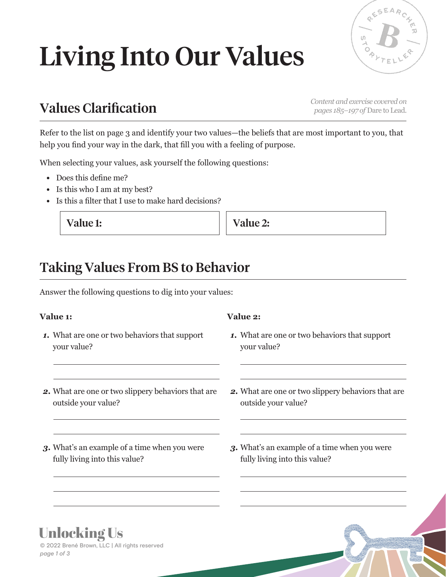# Living Into Our Values



## *Content and exercise covered on* Values Clarification *pages 185–197 of* Dare to Lead*.*

Refer to the list on page 3 and identify your two values—the beliefs that are most important to you, that help you find your way in the dark, that fill you with a feeling of purpose.

When selecting your values, ask yourself the following questions:

- *•* Does this define me?
- *•* Is this who I am at my best?
- *•* Is this a filter that I use to make hard decisions?

Value 1: Value 2:

### Taking Values From BS to Behavior

Answer the following questions to dig into your values:

#### **Value 1:**

*1.* What are one or two behaviors that support your value?

#### **Value 2:**

- *1.* What are one or two behaviors that support your value?
- *2.* What are one or two slippery behaviors that are outside your value?
- *3.* What's an example of a time when you were fully living into this value?
- *2.* What are one or two slippery behaviors that are outside your value?
- *3.* What's an example of a time when you were fully living into this value?

### **Unlocking Us**

*page 1 of 3* © 2022 Brené Brown, LLC | All rights reserved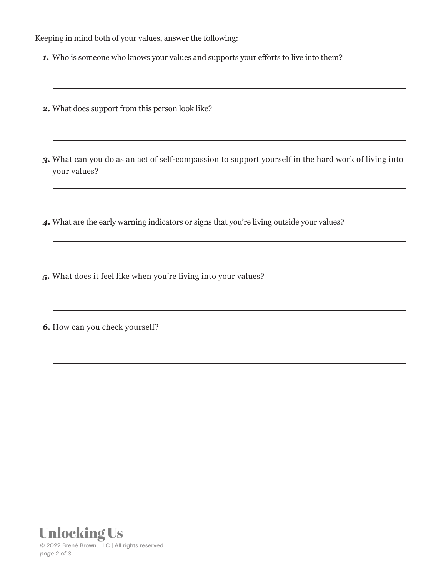Keeping in mind both of your values, answer the following:

- *1.* Who is someone who knows your values and supports your efforts to live into them?
- *2.* What does support from this person look like?
- *3.* What can you do as an act of self-compassion to support yourself in the hard work of living into your values?
- *4.* What are the early warning indicators or signs that you're living outside your values?

*5.* What does it feel like when you're living into your values?

*6.* How can you check yourself?